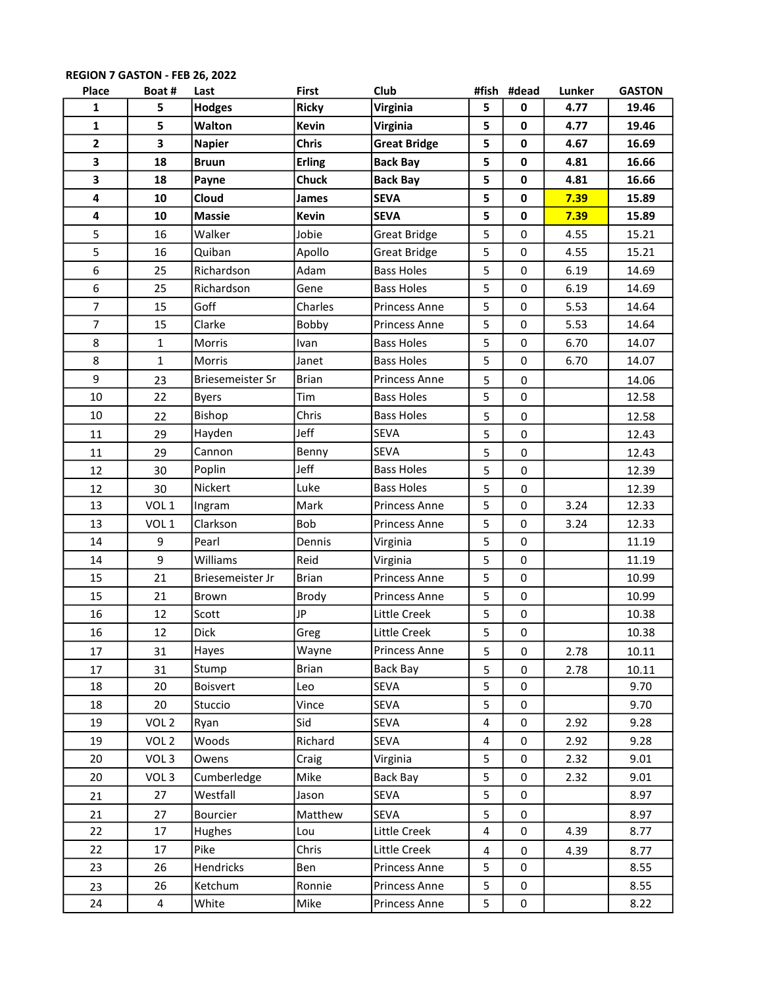| Place          | Boat#            | Last             | <b>First</b>  | Club                 |   | #fish #dead | Lunker | <b>GASTON</b> |
|----------------|------------------|------------------|---------------|----------------------|---|-------------|--------|---------------|
| $\mathbf{1}$   | 5                | <b>Hodges</b>    | <b>Ricky</b>  | Virginia             | 5 | 0           | 4.77   | 19.46         |
| $\mathbf{1}$   | 5                | Walton           | <b>Kevin</b>  | Virginia             | 5 | $\mathbf 0$ | 4.77   | 19.46         |
| $\mathbf{2}$   | 3                | <b>Napier</b>    | <b>Chris</b>  | <b>Great Bridge</b>  | 5 | $\mathbf 0$ | 4.67   | 16.69         |
| 3              | 18               | <b>Bruun</b>     | <b>Erling</b> | <b>Back Bay</b>      | 5 | $\mathbf 0$ | 4.81   | 16.66         |
| 3              | 18               | Payne            | <b>Chuck</b>  | <b>Back Bay</b>      | 5 | $\mathbf 0$ | 4.81   | 16.66         |
| 4              | 10               | Cloud            | James         | <b>SEVA</b>          | 5 | $\pmb{0}$   | 7.39   | 15.89         |
| 4              | 10               | <b>Massie</b>    | <b>Kevin</b>  | <b>SEVA</b>          | 5 | $\mathbf 0$ | 7.39   | 15.89         |
| 5              | 16               | Walker           | Jobie         | <b>Great Bridge</b>  | 5 | 0           | 4.55   | 15.21         |
| 5              | 16               | Quiban           | Apollo        | <b>Great Bridge</b>  | 5 | 0           | 4.55   | 15.21         |
| 6              | 25               | Richardson       | Adam          | <b>Bass Holes</b>    | 5 | $\pmb{0}$   | 6.19   | 14.69         |
| 6              | 25               | Richardson       | Gene          | <b>Bass Holes</b>    | 5 | $\pmb{0}$   | 6.19   | 14.69         |
| $\overline{7}$ | 15               | Goff             | Charles       | <b>Princess Anne</b> | 5 | 0           | 5.53   | 14.64         |
| $\overline{7}$ | 15               | Clarke           | Bobby         | Princess Anne        | 5 | 0           | 5.53   | 14.64         |
| 8              | $\mathbf{1}$     | Morris           | Ivan          | <b>Bass Holes</b>    | 5 | 0           | 6.70   | 14.07         |
| 8              | $\mathbf{1}$     | <b>Morris</b>    | Janet         | <b>Bass Holes</b>    | 5 | $\mathbf 0$ | 6.70   | 14.07         |
| 9              | 23               | Briesemeister Sr | <b>Brian</b>  | <b>Princess Anne</b> | 5 | 0           |        | 14.06         |
| 10             | 22               | <b>Byers</b>     | Tim           | <b>Bass Holes</b>    | 5 | $\pmb{0}$   |        | 12.58         |
| 10             | 22               | Bishop           | Chris         | <b>Bass Holes</b>    | 5 | $\mathbf 0$ |        | 12.58         |
| 11             | 29               | Hayden           | Jeff          | <b>SEVA</b>          | 5 | $\pmb{0}$   |        | 12.43         |
| 11             | 29               | Cannon           | Benny         | <b>SEVA</b>          | 5 | 0           |        | 12.43         |
| 12             | 30               | Poplin           | Jeff          | <b>Bass Holes</b>    | 5 | $\mathbf 0$ |        | 12.39         |
| 12             | 30               | Nickert          | Luke          | <b>Bass Holes</b>    | 5 | 0           |        | 12.39         |
| 13             | VOL 1            | Ingram           | Mark          | Princess Anne        | 5 | 0           | 3.24   | 12.33         |
| 13             | VOL <sub>1</sub> | Clarkson         | Bob           | <b>Princess Anne</b> | 5 | 0           | 3.24   | 12.33         |
| 14             | 9                | Pearl            | Dennis        | Virginia             | 5 | 0           |        | 11.19         |
| 14             | 9                | Williams         | Reid          | Virginia             | 5 | 0           |        | 11.19         |
| 15             | 21               | Briesemeister Jr | <b>Brian</b>  | Princess Anne        | 5 | 0           |        | 10.99         |
| 15             | 21               | Brown            | Brody         | Princess Anne        | 5 | 0           |        | 10.99         |
| 16             | 12               | Scott            | JP            | Little Creek         | 5 | $\pmb{0}$   |        | 10.38         |
| 16             | 12               | Dick             | Greg          | Little Creek         | 5 | $\pmb{0}$   |        | 10.38         |
| 17             | 31               | Hayes            | Wayne         | Princess Anne        | 5 | $\pmb{0}$   | 2.78   | 10.11         |
| 17             | 31               | Stump            | <b>Brian</b>  | Back Bay             | 5 | 0           | 2.78   | 10.11         |
| 18             | 20               | Boisvert         | Leo           | SEVA                 | 5 | 0           |        | 9.70          |
| 18             | 20               | Stuccio          | Vince         | SEVA                 | 5 | 0           |        | 9.70          |
| 19             | VOL <sub>2</sub> | Ryan             | Sid           | <b>SEVA</b>          | 4 | 0           | 2.92   | 9.28          |
| 19             | VOL <sub>2</sub> | Woods            | Richard       | SEVA                 | 4 | $\pmb{0}$   | 2.92   | 9.28          |
| 20             | VOL <sub>3</sub> | Owens            | Craig         | Virginia             | 5 | 0           | 2.32   | 9.01          |
| 20             | VOL <sub>3</sub> | Cumberledge      | Mike          | Back Bay             | 5 | 0           | 2.32   | 9.01          |
| 21             | 27               | Westfall         | Jason         | SEVA                 | 5 | 0           |        | 8.97          |
| 21             | 27               | Bourcier         | Matthew       | <b>SEVA</b>          | 5 | 0           |        | 8.97          |
| 22             | 17               | Hughes           | Lou           | Little Creek         | 4 | 0           | 4.39   | 8.77          |
| 22             | 17               | Pike             | Chris         | Little Creek         | 4 | 0           | 4.39   | 8.77          |
| 23             | 26               | Hendricks        | Ben           | Princess Anne        | 5 | 0           |        | 8.55          |
| 23             | 26               | Ketchum          | Ronnie        | Princess Anne        | 5 | 0           |        | 8.55          |
| 24             | 4                | White            | Mike          | Princess Anne        | 5 | $\pmb{0}$   |        | 8.22          |

## REGION 7 GASTON - FEB 26, 2022